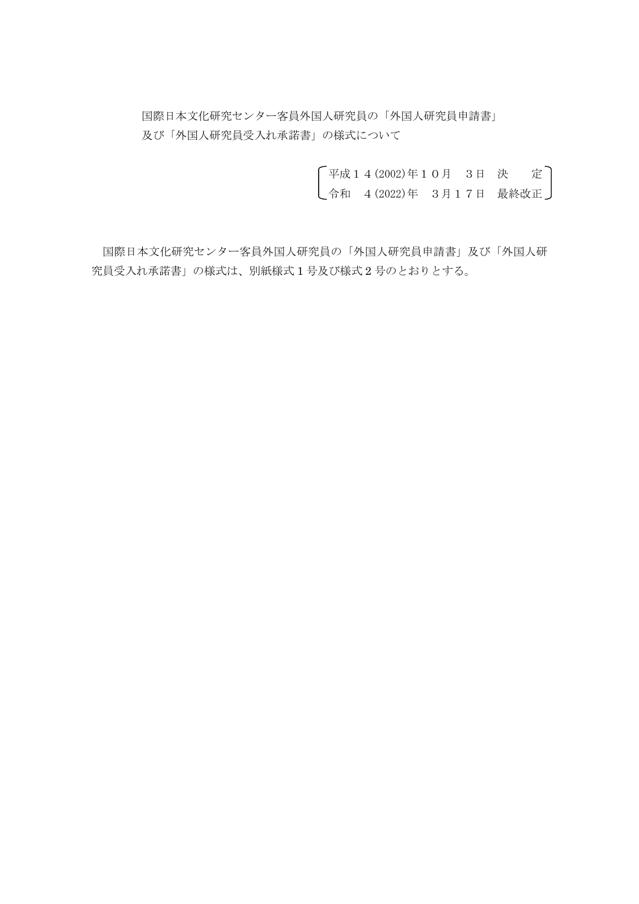国際日本文化研究センター客員外国人研究員の「外国人研究員申請書」 及び「外国人研究員受入れ承諾書」の様式について

- 平成14(2002)年10月 3日 決 定

令和 4(2022)年 3月17日 最終改正

国際日本文化研究センター客員外国人研究員の「外国人研究員申請書」及び「外国人研 究員受入れ承諾書」の様式は、別紙様式 1 号及び様式 2 号のとおりとする。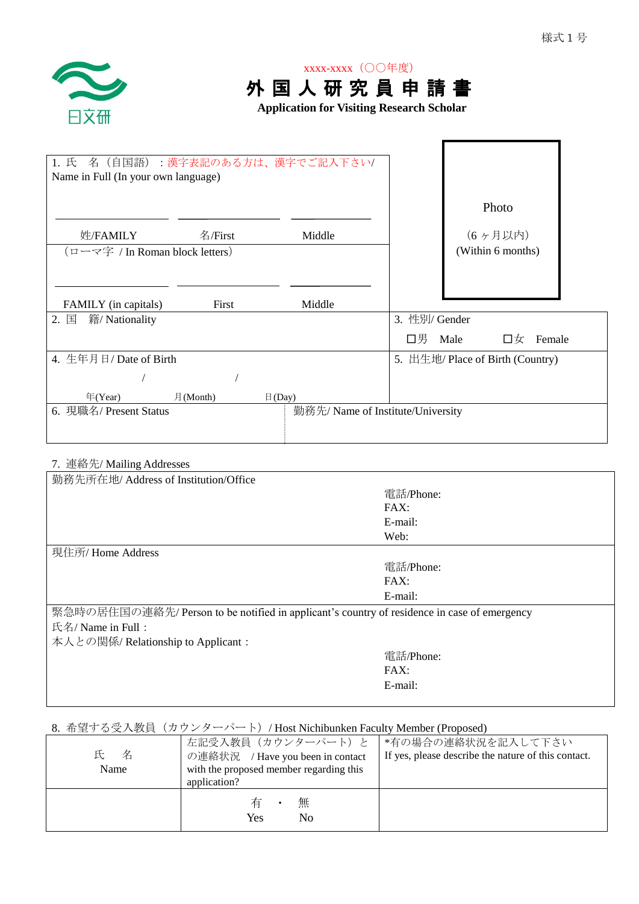



**Application for Visiting Research Scholar**

| 1. $E$<br>名                         |          | (自国語) :漢字表記のある方は、漢字でご記入下さい/       |                                  |
|-------------------------------------|----------|-----------------------------------|----------------------------------|
| Name in Full (In your own language) |          |                                   |                                  |
|                                     |          |                                   |                                  |
|                                     |          |                                   |                                  |
|                                     |          |                                   | Photo                            |
|                                     |          |                                   |                                  |
| 姓/FAMILY                            | 名/First  | Middle                            | (6ヶ月以内)                          |
| (ローマ字 / In Roman block letters)     |          |                                   | (Within 6 months)                |
|                                     |          |                                   |                                  |
|                                     |          |                                   |                                  |
|                                     |          |                                   |                                  |
| FAMILY (in capitals)                | First    | Middle                            |                                  |
| 籍/ Nationality<br>2.<br>国           |          |                                   | 3. 性別/ Gender                    |
|                                     |          |                                   | 口男<br>口女<br>Female<br>Male       |
|                                     |          |                                   |                                  |
| 4. 生年月日/Date of Birth               |          |                                   | 5. 出生地/ Place of Birth (Country) |
|                                     |          |                                   |                                  |
|                                     |          |                                   |                                  |
| 4F(Year)                            | 月(Month) | $\boxplus$ (Day)                  |                                  |
| 現職名/ Present Status<br>6.           |          | 勤務先/ Name of Institute/University |                                  |
|                                     |          |                                   |                                  |
|                                     |          |                                   |                                  |

## 7. 連絡先/ Mailing Addresses

| 勤務先所在地/ Address of Institution/Office                                                       |           |
|---------------------------------------------------------------------------------------------|-----------|
|                                                                                             | 電話/Phone: |
|                                                                                             | FAX:      |
|                                                                                             | E-mail:   |
|                                                                                             | Web:      |
| 現住所/ Home Address                                                                           |           |
|                                                                                             | 電話/Phone: |
|                                                                                             | FAX:      |
|                                                                                             | E-mail:   |
| 緊急時の居住国の連絡先/ Person to be notified in applicant's country of residence in case of emergency |           |
| 氏名/ Name in Full:                                                                           |           |
| 本人との関係/Relationship to Applicant:                                                           |           |
|                                                                                             | 電話/Phone: |
|                                                                                             | FAX:      |
|                                                                                             | E-mail:   |

## 8. 希望する受入教員(カウンターパート)/ Host Nichibunken Faculty Member (Proposed)

| Name | 左記受入教員(カウンターパート)と<br>の連絡状況 / Have you been in contact<br>with the proposed member regarding this<br>application? | *有の場合の連絡状況を記入して下さい<br>If yes, please describe the nature of this contact. |
|------|------------------------------------------------------------------------------------------------------------------|---------------------------------------------------------------------------|
|      | 無<br>有<br>Yes<br>No                                                                                              |                                                                           |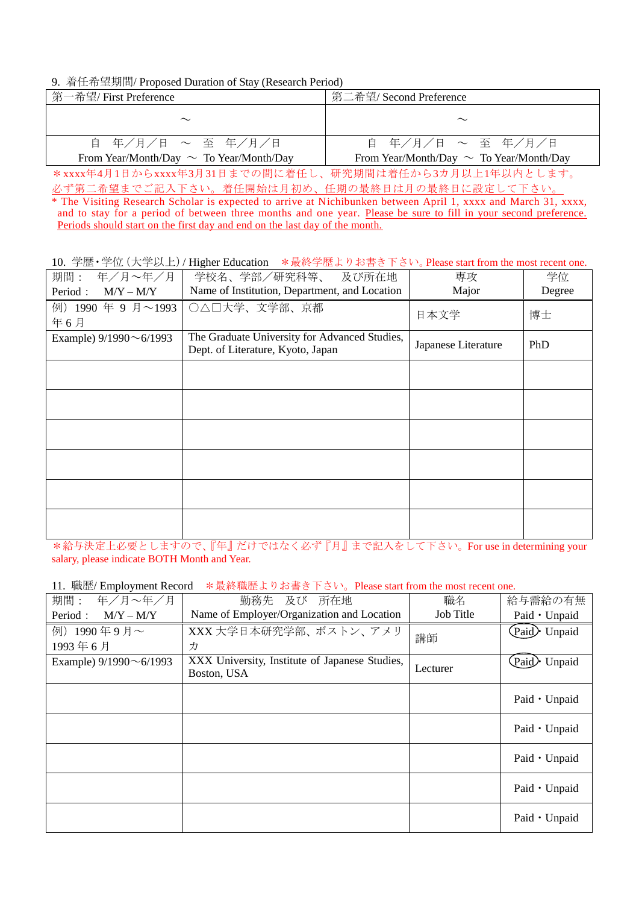### 9. 着任希望期間/ Proposed Duration of Stay (Research Period)

| 第一希望/ First Preference                                 | 第二希望/ Second Preference                      |
|--------------------------------------------------------|----------------------------------------------|
| $\sim$                                                 | $\sim$                                       |
| 自 年/月/日 ~ 至 年/月/日                                      | 自 年/月/日 ~ 至 年/月/日                            |
| From Year/Month/Day $\sim$ To Year/Month/Day           | From Year/Month/Day $\sim$ To Year/Month/Day |
| *xxxx年4月1日からxxxx年3月31日までの間に着任し、研究期間は着任から3カ月以上1年以内とします。 |                                              |

必ず第二希望までご記入下さい。着任開始は月初め、任期の最終日は月の最終日に設定して下さい。

\* The Visiting Research Scholar is expected to arrive at Nichibunken between April 1, xxxx and March 31, xxxx, and to stay for a period of between three months and one year. Please be sure to fill in your second preference. Periods should start on the first day and end on the last day of the month.

### 10. 学歴·学位(大学以上)/ Higher Education \*最終学歴よりお書き下さい。Please start from the most recent one.

| 期間: 年/月~年/月                   | 学校名、学部/研究科等、 及び所在地                            | 専攻                  | 学位     |
|-------------------------------|-----------------------------------------------|---------------------|--------|
| Period :<br>$M/Y - MY$        | Name of Institution, Department, and Location | Major               | Degree |
| 例) 1990 年 9 月~1993            | ○△□大学、文学部、京都                                  | 日本文学                | 博士     |
| 年6月                           |                                               |                     |        |
| Example) $9/1990 \sim 6/1993$ | The Graduate University for Advanced Studies, | Japanese Literature | PhD    |
|                               | Dept. of Literature, Kyoto, Japan             |                     |        |
|                               |                                               |                     |        |
|                               |                                               |                     |        |
|                               |                                               |                     |        |
|                               |                                               |                     |        |
|                               |                                               |                     |        |
|                               |                                               |                     |        |
|                               |                                               |                     |        |
|                               |                                               |                     |        |
|                               |                                               |                     |        |
|                               |                                               |                     |        |
|                               |                                               |                     |        |
|                               |                                               |                     |        |

\*給与決定上必要としますので、『年』だけではなく必ず『月』まで記入をして下さい。For use in determining your salary, please indicate BOTH Month and Year.

11. 職歴/ Employment Record \*最終職歴よりお書き下さい。Please start from the most recent one.

| 期間: 年/月~年/月                   | 勤務先 及び 所在地                                                    | 職名               | 給与需給の有無       |
|-------------------------------|---------------------------------------------------------------|------------------|---------------|
| Period : $M/Y - M/Y$          | Name of Employer/Organization and Location                    | <b>Job Title</b> | Paid · Unpaid |
| 例) 1990年9月~                   | XXX大学日本研究学部、ボストン、アメリ                                          | 講師               | (Paid) Unpaid |
| 1993年6月                       | 力                                                             |                  |               |
| Example) $9/1990 \sim 6/1993$ | XXX University, Institute of Japanese Studies,<br>Boston, USA | Lecturer         | Paid Unpaid   |
|                               |                                                               |                  | Paid · Unpaid |
|                               |                                                               |                  | Paid · Unpaid |
|                               |                                                               |                  | Paid · Unpaid |
|                               |                                                               |                  | Paid · Unpaid |
|                               |                                                               |                  | Paid · Unpaid |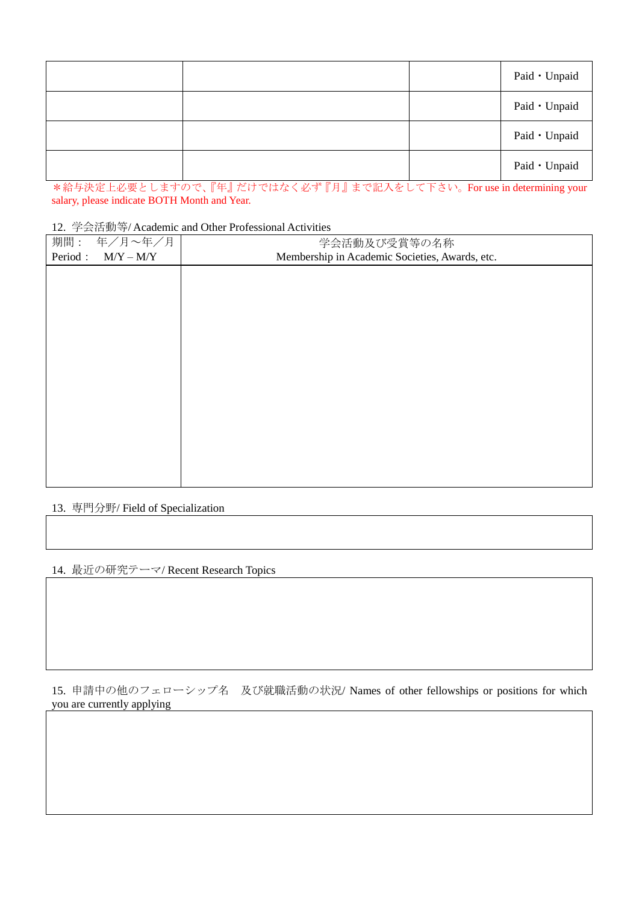|  | Paid · Unpaid |
|--|---------------|
|  | Paid · Unpaid |
|  | Paid · Unpaid |
|  | Paid · Unpaid |

\*給与決定上必要としますので、『年』だけではなく必ず『月』まで記入をして下さい。For use in determining your salary, please indicate BOTH Month and Year.

12. 学会活動等/ Academic and Other Professional Activities

| 期間:<br>年/月~年/月        | 学会活動及び受賞等の名称                                   |  |
|-----------------------|------------------------------------------------|--|
| Period:<br>$M/Y - MY$ | Membership in Academic Societies, Awards, etc. |  |
|                       |                                                |  |
|                       |                                                |  |
|                       |                                                |  |
|                       |                                                |  |
|                       |                                                |  |
|                       |                                                |  |
|                       |                                                |  |
|                       |                                                |  |
|                       |                                                |  |
|                       |                                                |  |
|                       |                                                |  |
|                       |                                                |  |
|                       |                                                |  |
|                       |                                                |  |
|                       |                                                |  |
|                       |                                                |  |
|                       |                                                |  |

## 13. 専門分野/ Field of Specialization

14. 最近の研究テーマ/ Recent Research Topics

15. 申請中の他のフェローシップ名 及び就職活動の状況/ Names of other fellowships or positions for which you are currently applying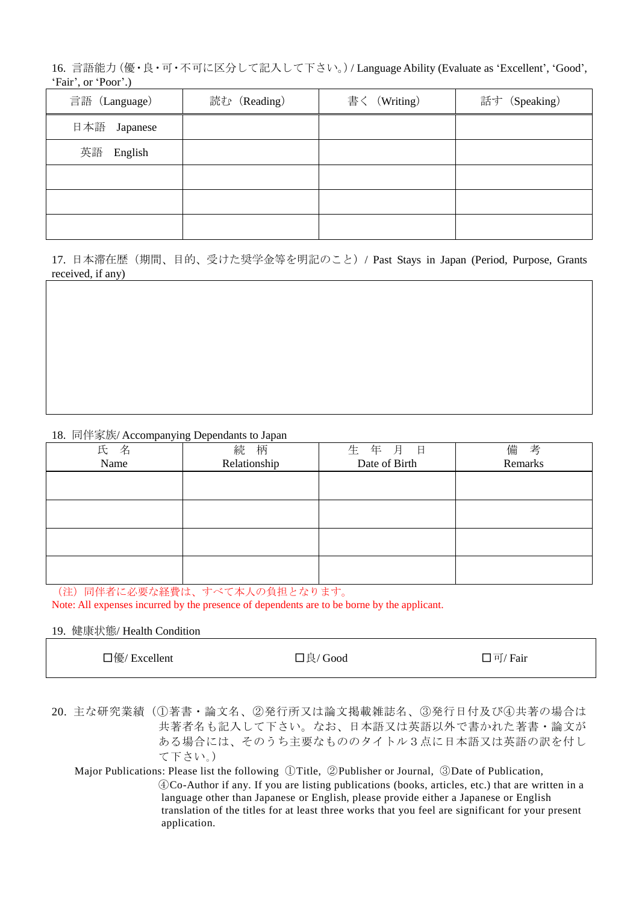16. 言語能力(優・良・可・不可に区分して記入して下さい。)/ Language Ability (Evaluate as 'Excellent', 'Good', 'Fair', or 'Poor'.)

| 言語 (Language) | 読む (Reading) | 書く (Writing) | 話す (Speaking) |
|---------------|--------------|--------------|---------------|
| 日本語 Japanese  |              |              |               |
| 英語<br>English |              |              |               |
|               |              |              |               |
|               |              |              |               |
|               |              |              |               |

17. 日本滞在歴(期間、目的、受けた奨学金等を明記のこと)/ Past Stays in Japan (Period, Purpose, Grants received, if any)

### 18. 同伴家族/ Accompanying Dependants to Japan

| 氏 名<br>Name | 続 柄          | 生 年 月<br>日    | 備<br>考  |
|-------------|--------------|---------------|---------|
|             | Relationship | Date of Birth | Remarks |
|             |              |               |         |
|             |              |               |         |
|             |              |               |         |
|             |              |               |         |
|             |              |               |         |
|             |              |               |         |
|             |              |               |         |
|             |              |               |         |

(注)同伴者に必要な経費は、すべて本人の負担となります。

Note: All expenses incurred by the presence of dependents are to be borne by the applicant.

19. 健康状態/ Health Condition

| $\Box$ 優/ Excellent | $\square$ 良/ Good | $\Box$ 可/ Fair |
|---------------------|-------------------|----------------|
|                     |                   |                |

20. 主な研究業績(①著書・論文名、②発行所又は論文掲載雑誌名、③発行日付及び④共著の場合は 共著者名も記入して下さい。なお、日本語又は英語以外で書かれた著書・論文が ある場合には、そのうち主要なもののタイトル3点に日本語又は英語の訳を付し て下さい。)

Major Publications: Please list the following ①Title, ②Publisher or Journal, ③Date of Publication, ④Co-Author if any. If you are listing publications (books, articles, etc.) that are written in a language other than Japanese or English, please provide either a Japanese or English translation of the titles for at least three works that you feel are significant for your present application.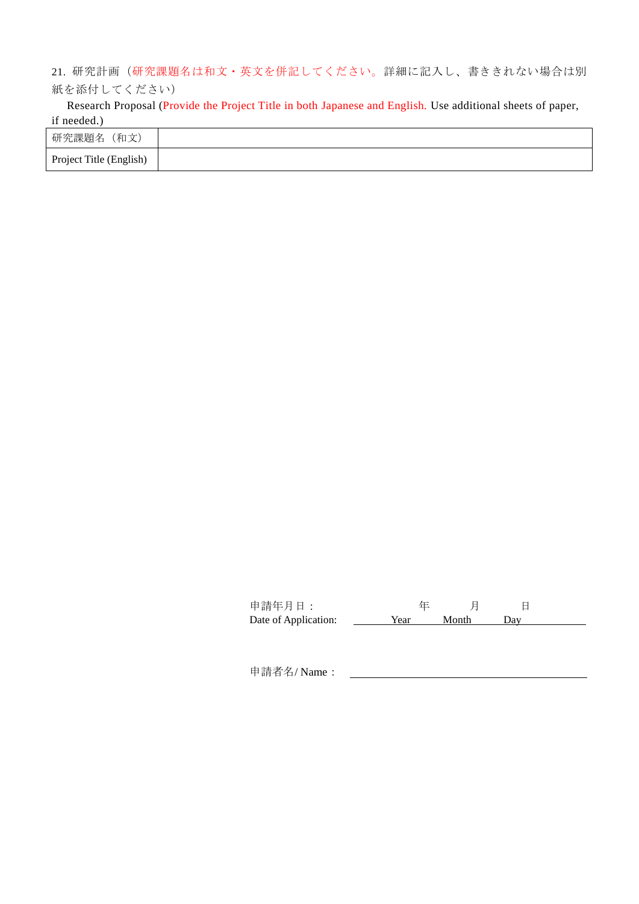# 21. 研究計画(研究課題名は和文・英文を併記してください。詳細に記入し、書ききれない場合は別 紙を添付してください)

Research Proposal (Provide the Project Title in both Japanese and English. Use additional sheets of paper, if needed.)

| (和文)<br>研究課題名           |  |
|-------------------------|--|
| Project Title (English) |  |

| 申請年月日:               |      |       |     |  |
|----------------------|------|-------|-----|--|
| Date of Application: | Year | Month | Dav |  |

申請者名/ Name: